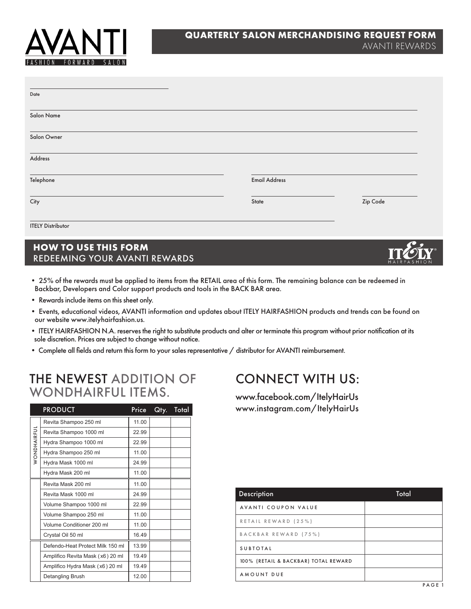

| Date                     |                      |          |
|--------------------------|----------------------|----------|
| Salon Name               |                      |          |
| Salon Owner              |                      |          |
| Address                  |                      |          |
| Telephone                | <b>Email Address</b> |          |
| City                     | State                | Zip Code |
| <b>ITELY Distributor</b> |                      |          |

## **HOW TO USE THIS FORM** REDEEMING YOUR AVANTI REWARDS

- 25% of the rewards must be applied to items from the RETAIL area of this form. The remaining balance can be redeemed in Backbar, Developers and Color support products and tools in the BACK BAR area.
- Rewards include items on this sheet only.
- Events, educational videos, AVANTI information and updates about ITELY HAIRFASHION products and trends can be found on our website www.itelyhairfashion.us.
- ITELY HAIRFASHION N.A. reserves the right to substitute products and alter or terminate this program without prior notification at its sole discretion. Prices are subject to change without notice.
- Complete all fields and return this form to your sales representative / distributor for AVANTI reimbursement.

## THE NEWEST ADDITION OF WONDHAIRFUL ITEMS.

|             | <b>PRODUCT</b>                   | Price | Qty. | Total |
|-------------|----------------------------------|-------|------|-------|
|             | Revita Shampoo 250 ml            | 11.00 |      |       |
|             | Revita Shampoo 1000 ml           | 22.99 |      |       |
| WONDHAIRFUL | Hydra Shampoo 1000 ml            | 22.99 |      |       |
|             | Hydra Shampoo 250 ml             | 11.00 |      |       |
|             | Hydra Mask 1000 ml               | 24.99 |      |       |
|             | Hydra Mask 200 ml                | 11.00 |      |       |
|             | Revita Mask 200 ml               | 11.00 |      |       |
|             | Revita Mask 1000 ml              | 24.99 |      |       |
|             | Volume Shampoo 1000 ml           | 22.99 |      |       |
|             | Volume Shampoo 250 ml            | 11.00 |      |       |
|             | Volume Conditioner 200 ml        | 11.00 |      |       |
|             | Crystal Oil 50 ml                | 16.49 |      |       |
|             | Defendo-Heat Protect Milk 150 ml | 13.99 |      |       |
|             | Amplifico Revita Mask (x6) 20 ml | 19.49 |      |       |
|             | Amplifico Hydra Mask (x6) 20 ml  | 19.49 |      |       |
|             | Detangling Brush                 | 12.00 |      |       |

## CONNECT WITH US:

www.facebook.com/ItelyHairUs www.instagram.com/ItelyHairUs

| <b>Description</b>                   | Total |
|--------------------------------------|-------|
| AVANTI COUPON VALUE                  |       |
| RETAIL REWARD (25%)                  |       |
| BACKBAR REWARD (75%)                 |       |
| <b>SUBTOTAL</b>                      |       |
| 100% (RETAIL & BACKBAR) TOTAL REWARD |       |
| AMOUNT DUE                           |       |